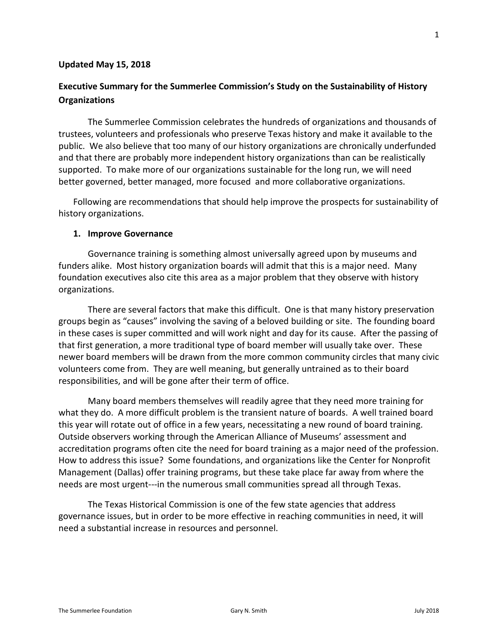#### **Updated May 15, 2018**

# **Executive Summary for the Summerlee Commission's Study on the Sustainability of History Organizations**

The Summerlee Commission celebrates the hundreds of organizations and thousands of trustees, volunteers and professionals who preserve Texas history and make it available to the public. We also believe that too many of our history organizations are chronically underfunded and that there are probably more independent history organizations than can be realistically supported. To make more of our organizations sustainable for the long run, we will need better governed, better managed, more focused and more collaborative organizations.

Following are recommendations that should help improve the prospects for sustainability of history organizations.

#### **1. Improve Governance**

Governance training is something almost universally agreed upon by museums and funders alike. Most history organization boards will admit that this is a major need. Many foundation executives also cite this area as a major problem that they observe with history organizations.

There are several factors that make this difficult. One is that many history preservation groups begin as "causes" involving the saving of a beloved building or site. The founding board in these cases is super committed and will work night and day for its cause. After the passing of that first generation, a more traditional type of board member will usually take over. These newer board members will be drawn from the more common community circles that many civic volunteers come from. They are well meaning, but generally untrained as to their board responsibilities, and will be gone after their term of office.

Many board members themselves will readily agree that they need more training for what they do. A more difficult problem is the transient nature of boards. A well trained board this year will rotate out of office in a few years, necessitating a new round of board training. Outside observers working through the American Alliance of Museums' assessment and accreditation programs often cite the need for board training as a major need of the profession. How to address this issue? Some foundations, and organizations like the Center for Nonprofit Management (Dallas) offer training programs, but these take place far away from where the needs are most urgent---in the numerous small communities spread all through Texas.

The Texas Historical Commission is one of the few state agencies that address governance issues, but in order to be more effective in reaching communities in need, it will need a substantial increase in resources and personnel.

1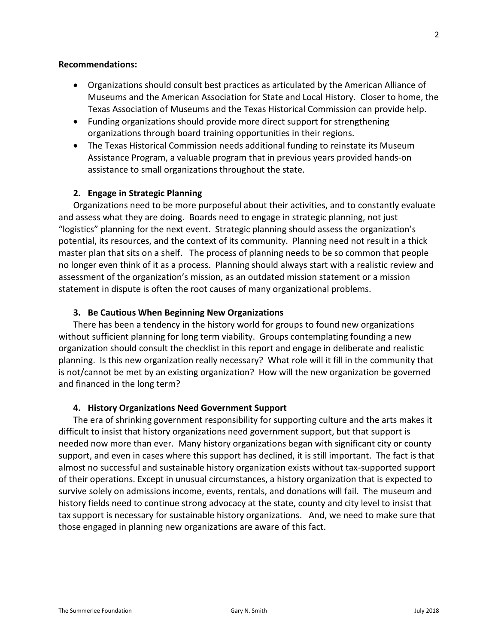#### **Recommendations:**

- Organizations should consult best practices as articulated by the American Alliance of Museums and the American Association for State and Local History. Closer to home, the Texas Association of Museums and the Texas Historical Commission can provide help.
- Funding organizations should provide more direct support for strengthening organizations through board training opportunities in their regions.
- The Texas Historical Commission needs additional funding to reinstate its Museum Assistance Program, a valuable program that in previous years provided hands-on assistance to small organizations throughout the state.

### **2. Engage in Strategic Planning**

Organizations need to be more purposeful about their activities, and to constantly evaluate and assess what they are doing. Boards need to engage in strategic planning, not just "logistics" planning for the next event. Strategic planning should assess the organization's potential, its resources, and the context of its community. Planning need not result in a thick master plan that sits on a shelf. The process of planning needs to be so common that people no longer even think of it as a process. Planning should always start with a realistic review and assessment of the organization's mission, as an outdated mission statement or a mission statement in dispute is often the root causes of many organizational problems.

### **3. Be Cautious When Beginning New Organizations**

There has been a tendency in the history world for groups to found new organizations without sufficient planning for long term viability. Groups contemplating founding a new organization should consult the checklist in this report and engage in deliberate and realistic planning. Is this new organization really necessary? What role will it fill in the community that is not/cannot be met by an existing organization? How will the new organization be governed and financed in the long term?

#### **4. History Organizations Need Government Support**

The era of shrinking government responsibility for supporting culture and the arts makes it difficult to insist that history organizations need government support, but that support is needed now more than ever. Many history organizations began with significant city or county support, and even in cases where this support has declined, it is still important. The fact is that almost no successful and sustainable history organization exists without tax-supported support of their operations. Except in unusual circumstances, a history organization that is expected to survive solely on admissions income, events, rentals, and donations will fail. The museum and history fields need to continue strong advocacy at the state, county and city level to insist that tax support is necessary for sustainable history organizations. And, we need to make sure that those engaged in planning new organizations are aware of this fact.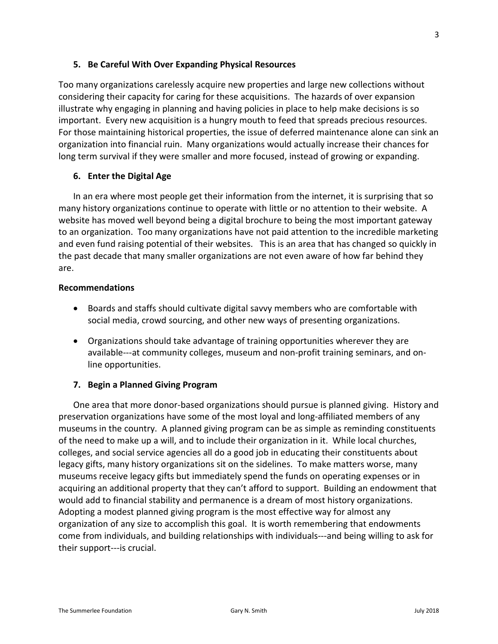## **5. Be Careful With Over Expanding Physical Resources**

Too many organizations carelessly acquire new properties and large new collections without considering their capacity for caring for these acquisitions. The hazards of over expansion illustrate why engaging in planning and having policies in place to help make decisions is so important. Every new acquisition is a hungry mouth to feed that spreads precious resources. For those maintaining historical properties, the issue of deferred maintenance alone can sink an organization into financial ruin. Many organizations would actually increase their chances for long term survival if they were smaller and more focused, instead of growing or expanding.

## **6. Enter the Digital Age**

In an era where most people get their information from the internet, it is surprising that so many history organizations continue to operate with little or no attention to their website. A website has moved well beyond being a digital brochure to being the most important gateway to an organization. Too many organizations have not paid attention to the incredible marketing and even fund raising potential of their websites. This is an area that has changed so quickly in the past decade that many smaller organizations are not even aware of how far behind they are.

### **Recommendations**

- Boards and staffs should cultivate digital savvy members who are comfortable with social media, crowd sourcing, and other new ways of presenting organizations.
- Organizations should take advantage of training opportunities wherever they are available---at community colleges, museum and non-profit training seminars, and online opportunities.

# **7. Begin a Planned Giving Program**

One area that more donor-based organizations should pursue is planned giving. History and preservation organizations have some of the most loyal and long-affiliated members of any museums in the country. A planned giving program can be as simple as reminding constituents of the need to make up a will, and to include their organization in it. While local churches, colleges, and social service agencies all do a good job in educating their constituents about legacy gifts, many history organizations sit on the sidelines. To make matters worse, many museums receive legacy gifts but immediately spend the funds on operating expenses or in acquiring an additional property that they can't afford to support. Building an endowment that would add to financial stability and permanence is a dream of most history organizations. Adopting a modest planned giving program is the most effective way for almost any organization of any size to accomplish this goal. It is worth remembering that endowments come from individuals, and building relationships with individuals---and being willing to ask for their support---is crucial.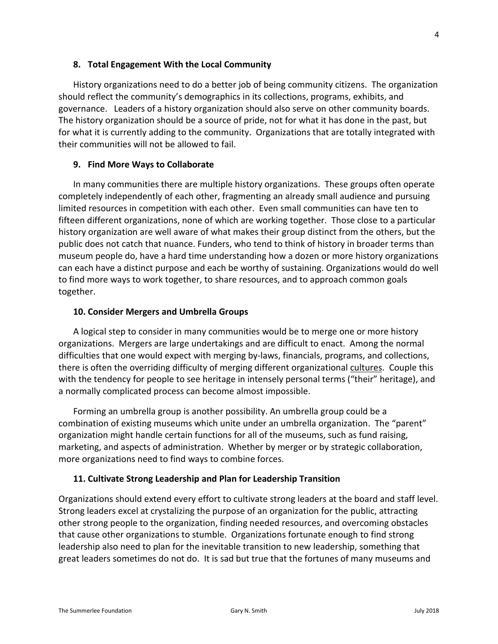History organizations need to do a better job of being community citizens. The organization should reflect the community's demographics in its collections, programs, exhibits, and governance. Leaders of a history organization should also serve on other community boards. The history organization should be a source of pride, not for what it has done in the past, but for what it is currently adding to the community. Organizations that are totally integrated with their communities will not be allowed to fail.

# **9. Find More Ways to Collaborate**

In many communities there are multiple history organizations. These groups often operate completely independently of each other, fragmenting an already small audience and pursuing limited resources in competition with each other. Even small communities can have ten to fifteen different organizations, none of which are working together. Those close to a particular history organization are well aware of what makes their group distinct from the others, but the public does not catch that nuance. Funders, who tend to think of history in broader terms than museum people do, have a hard time understanding how a dozen or more history organizations can each have a distinct purpose and each be worthy of sustaining. Organizations would do well to find more ways to work together, to share resources, and to approach common goals together.

# **10. Consider Mergers and Umbrella Groups**

A logical step to consider in many communities would be to merge one or more history organizations. Mergers are large undertakings and are difficult to enact. Among the normal difficulties that one would expect with merging by-laws, financials, programs, and collections, there is often the overriding difficulty of merging different organizational cultures. Couple this with the tendency for people to see heritage in intensely personal terms ("their" heritage), and a normally complicated process can become almost impossible.

Forming an umbrella group is another possibility. An umbrella group could be a combination of existing museums which unite under an umbrella organization. The "parent" organization might handle certain functions for all of the museums, such as fund raising, marketing, and aspects of administration. Whether by merger or by strategic collaboration, more organizations need to find ways to combine forces.

# **11. Cultivate Strong Leadership and Plan for Leadership Transition**

Organizations should extend every effort to cultivate strong leaders at the board and staff level. Strong leaders excel at crystalizing the purpose of an organization for the public, attracting other strong people to the organization, finding needed resources, and overcoming obstacles that cause other organizations to stumble. Organizations fortunate enough to find strong leadership also need to plan for the inevitable transition to new leadership, something that great leaders sometimes do not do. It is sad but true that the fortunes of many museums and